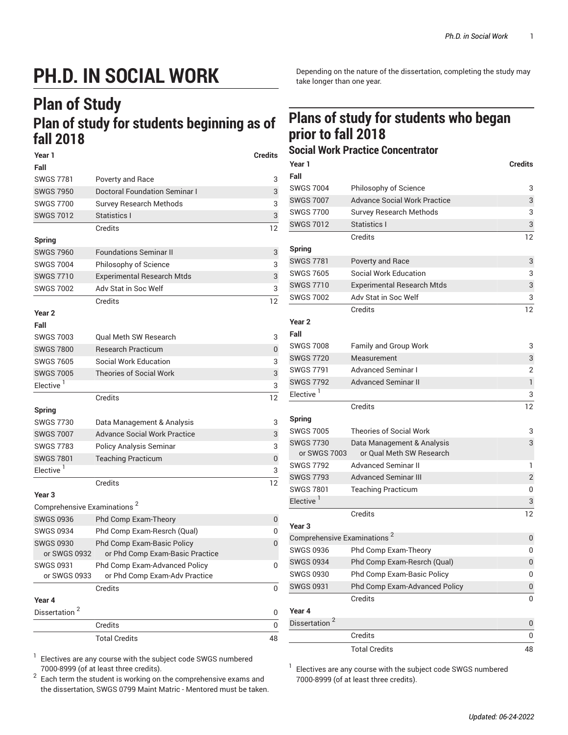## **PH.D. IN SOCIAL WORK**

## **Plan of Study Plan of study for students beginning as of fall 2018**

| Year 1                                  |                                      | <b>Credits</b> |  |  |
|-----------------------------------------|--------------------------------------|----------------|--|--|
| Fall                                    |                                      |                |  |  |
| <b>SWGS 7781</b>                        | Poverty and Race                     | 3              |  |  |
| <b>SWGS 7950</b>                        | <b>Doctoral Foundation Seminar I</b> | 3              |  |  |
| <b>SWGS 7700</b>                        | <b>Survey Research Methods</b>       | 3              |  |  |
| <b>SWGS 7012</b>                        | Statistics I                         | 3              |  |  |
|                                         | Credits                              | 12             |  |  |
| <b>Spring</b>                           |                                      |                |  |  |
| <b>SWGS 7960</b>                        | <b>Foundations Seminar II</b>        | 3              |  |  |
| <b>SWGS 7004</b>                        | Philosophy of Science                | 3              |  |  |
| <b>SWGS 7710</b>                        | <b>Experimental Research Mtds</b>    | 3              |  |  |
| <b>SWGS 7002</b>                        | Adv Stat in Soc Welf                 | 3              |  |  |
|                                         | Credits                              | 12             |  |  |
| <b>Year 2</b>                           |                                      |                |  |  |
| Fall                                    |                                      |                |  |  |
| <b>SWGS 7003</b>                        | <b>Oual Meth SW Research</b>         | 3              |  |  |
| <b>SWGS 7800</b>                        | <b>Research Practicum</b>            | $\pmb{0}$      |  |  |
| <b>SWGS 7605</b>                        | <b>Social Work Education</b>         | 3              |  |  |
| <b>SWGS 7005</b>                        | Theories of Social Work              | 3              |  |  |
| Elective <sup>1</sup>                   |                                      | 3              |  |  |
|                                         | Credits                              | 12             |  |  |
| <b>Spring</b>                           |                                      |                |  |  |
| <b>SWGS 7730</b>                        | Data Management & Analysis           | 3              |  |  |
| <b>SWGS 7007</b>                        | <b>Advance Social Work Practice</b>  | 3              |  |  |
| <b>SWGS 7783</b>                        | <b>Policy Analysis Seminar</b>       | 3              |  |  |
| <b>SWGS 7801</b>                        | <b>Teaching Practicum</b>            | 0              |  |  |
| Elective <sup>1</sup>                   |                                      | 3              |  |  |
|                                         | Credits                              | 12             |  |  |
| Year 3                                  |                                      |                |  |  |
| Comprehensive Examinations <sup>2</sup> |                                      |                |  |  |
| <b>SWGS 0936</b>                        | Phd Comp Exam-Theory                 | 0              |  |  |
| <b>SWGS 0934</b>                        | Phd Comp Exam-Resrch (Qual)          | 0              |  |  |
| <b>SWGS 0930</b>                        | Phd Comp Exam-Basic Policy           | 0              |  |  |
| or SWGS 0932                            | or Phd Comp Exam-Basic Practice      |                |  |  |
| SWGS 0931                               | Phd Comp Exam-Advanced Policy        | 0              |  |  |
| or SWGS 0933                            | or Phd Comp Exam-Adv Practice        |                |  |  |
|                                         | Credits                              | 0              |  |  |
| Year 4<br>Dissertation <sup>2</sup>     |                                      |                |  |  |
|                                         |                                      | 0              |  |  |
|                                         | Credits                              | 0              |  |  |
|                                         | <b>Total Credits</b>                 | 48             |  |  |

Depending on the nature of the dissertation, completing the study may take longer than one year.

## **Plans of study for students who began prior to fall 2018**

## **Social Work Practice Concentrator**

| Year 1                                  |                                                        | <b>Credits</b> |
|-----------------------------------------|--------------------------------------------------------|----------------|
| Fall                                    |                                                        |                |
| <b>SWGS 7004</b>                        | Philosophy of Science                                  | 3              |
| <b>SWGS 7007</b>                        | <b>Advance Social Work Practice</b>                    | 3              |
| <b>SWGS 7700</b>                        | <b>Survey Research Methods</b>                         | 3              |
| <b>SWGS 7012</b>                        | Statistics I                                           | 3              |
|                                         | Credits                                                | 12             |
| <b>Spring</b>                           |                                                        |                |
| <b>SWGS 7781</b>                        | Poverty and Race                                       | 3              |
| <b>SWGS 7605</b>                        | <b>Social Work Education</b>                           | 3              |
| <b>SWGS 7710</b>                        | <b>Experimental Research Mtds</b>                      | 3              |
| <b>SWGS 7002</b>                        | Adv Stat in Soc Welf                                   | 3              |
|                                         | Credits                                                | 12             |
| Year <sub>2</sub>                       |                                                        |                |
| Fall                                    |                                                        |                |
| <b>SWGS 7008</b>                        | <b>Family and Group Work</b>                           | 3              |
| <b>SWGS 7720</b>                        | Measurement                                            | 3              |
| <b>SWGS 7791</b>                        | <b>Advanced Seminar I</b>                              | 2              |
| <b>SWGS 7792</b>                        | <b>Advanced Seminar II</b>                             | $\mathbf{1}$   |
| Elective <sup>1</sup>                   |                                                        | 3              |
|                                         | Credits                                                | 12             |
| <b>Spring</b>                           |                                                        |                |
| <b>SWGS 7005</b>                        | <b>Theories of Social Work</b>                         | 3              |
| <b>SWGS 7730</b><br>or SWGS 7003        | Data Management & Analysis<br>or Qual Meth SW Research | 3              |
| <b>SWGS 7792</b>                        | Advanced Seminar II                                    | 1              |
| <b>SWGS 7793</b>                        | Advanced Seminar III                                   | $\overline{2}$ |
| <b>SWGS 7801</b>                        | <b>Teaching Practicum</b>                              | 0              |
| Elective <sup>1</sup>                   |                                                        | 3              |
|                                         | Credits                                                | 12             |
| Year <sub>3</sub>                       |                                                        |                |
| Comprehensive Examinations <sup>2</sup> |                                                        | 0              |
| <b>SWGS 0936</b>                        | Phd Comp Exam-Theory                                   | 0              |
| <b>SWGS 0934</b>                        | Phd Comp Exam-Resrch (Qual)                            | 0              |
| <b>SWGS 0930</b>                        | Phd Comp Exam-Basic Policy                             | 0              |
| <b>SWGS 0931</b>                        | Phd Comp Exam-Advanced Policy                          | 0              |
|                                         | Credits                                                | 0              |
| Year 4                                  |                                                        |                |
| Dissertation <sup>2</sup>               |                                                        | 0              |
|                                         | Credits                                                | 0              |
|                                         | <b>Total Credits</b>                                   | 48             |

1 Electives are any course with the [subject code SWGS](https://bulletin.fordham.edu/courses/SWGS/) numbered 7000-8999 (of at least three credits).

2 Each term the student is working on the comprehensive exams and the dissertation, SWGS 0799 Maint Matric - Mentored must be taken. Electives are any course with the [subject code SWGS](https://bulletin.fordham.edu/courses/SWGS/) numbered 7000-8999 (of at least three credits).

1